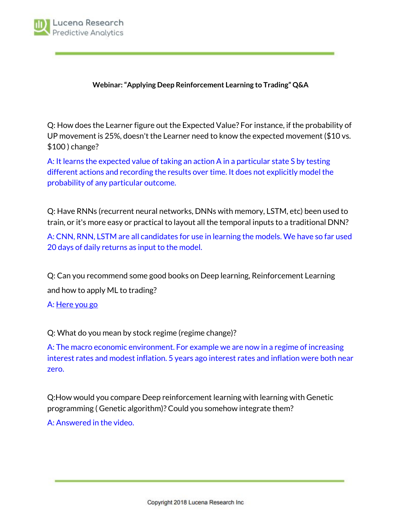

## **Webinar:"Applying Deep Reinforcement Learning to Trading" Q&A**

Q: How does the Learner figure out the Expected Value? For instance, if the probability of UP movement is 25%, doesn't the Learner need to know the expected movement (\$10 vs. \$100 ) change?

A: It learns the expected value of taking an action A in a particular state S by testing different actions and recording the results over time. It does not explicitly model the probability of any particular outcome.

Q: Have RNNs (recurrent neural networks, DNNs with memory, LSTM, etc) been used to train, or it's more easy or practical to layout all the temporal inputs to a traditional DNN?

A: CNN, RNN, LSTM are all candidates for use in learning the models. We have so far used 20 days of daily returns as input to the model.

Q: Can you recommend some good books on Deep learning, Reinforcement Learning and how to apply ML to trading?

A: [Here](https://www.amazon.com/Advances-Financial-Machine-Learning-%20Marcos/dp/1119482089/ref=sr_1_2?ie=UTF8&qid=1538494942&sr=8-%202&keywords=machine+learning+finance) you go

Q: What do you mean by stock regime (regime change)?

A: The macro economic environment. For example we are now in a regime of increasing interest rates and modest inflation. 5 years ago interest rates and inflation were both near zero.

Q:How would you compare Deep reinforcement learning with learning with Genetic programming ( Genetic algorithm)? Could you somehow integrate them? A: Answered in the video.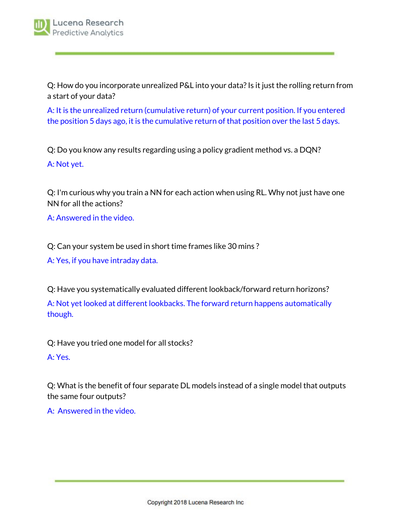Q: How do you incorporate unrealized P&L into your data?Is it just the rolling return from a start of your data?

A: It is the unrealized return (cumulative return) of your current position. If you entered the position 5 days ago, it is the cumulative return of that position over the last 5 days.

Q: Do you know any results regarding using a policy gradient method vs. a DQN? A: Not yet.

Q: I'm curious why you train a NN for each action when using RL. Why not just have one NN for all the actions?

A: Answered in the video.

Q: Can your system be used in short time frames like 30 mins ?

A: Yes, if you have intraday data.

Q: Have you systematically evaluated different lookback/forward return horizons? A: Not yet looked at different lookbacks. The forward return happens automatically though.

Q: Have you tried one model for all stocks?

A: Yes.

Q: What is the benefit of four separate DL models instead of a single model that outputs the same four outputs?

A: Answered in the video.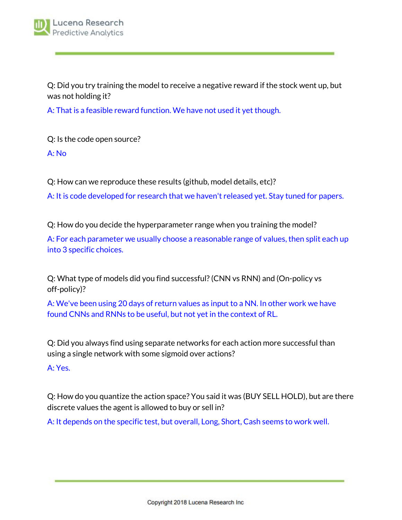Q: Did you try training the model to receive a negative reward if the stock went up, but was not holding it?

A: That is a feasible reward function. We have not used it yet though.

Q: Is the code open source?

A: No

Q: How can we reproduce these results (github, model details, etc)?

A: It is code developed for research that we haven't released yet. Stay tuned for papers.

Q: How do you decide the hyperparameter range when you training the model?

A: For each parameter we usually choose a reasonable range of values, then split each up into 3 specific choices.

Q: What type of models did you find successful?(CNN vs RNN) and (On-policy vs off-policy)?

A: We've been using 20 days of return values as input to a NN. In other work we have found CNNs and RNNs to be useful, but not yet in the context of RL.

Q: Did you always find using separate networks for each action more successful than using a single network with some sigmoid over actions?

A: Yes.

Q: How do you quantize the action space? You said it was (BUY SELL HOLD), but are there discrete values the agent is allowed to buy or sell in?

A: It depends on the specific test, but overall, Long, Short, Cash seems to work well.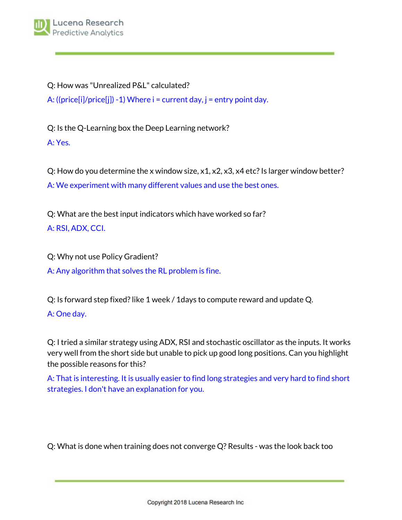Q: How was "Unrealized P&L" calculated?

A: ((price[i]/price[j]) -1) Where  $i =$  current day,  $j =$  entry point day.

Q: Is the Q-Learning box the Deep Learning network? A: Yes.

Q: How do you determine the x window size,  $x1, x2, x3, x4$  etc? Is larger window better? A: We experiment with many different values and use the best ones.

Q: What are the best input indicators which have worked so far? A: RSI, ADX, CCI.

Q: Why not use Policy Gradient?

A: Any algorithm that solves the RL problem is fine.

Q: Is forward step fixed?like 1 week / 1days to compute reward and update Q.

## A: One day.

Q: I tried a similar strategy using ADX, RSI and stochastic oscillator as the inputs. It works very well from the short side but unable to pick up good long positions. Can you highlight the possible reasons for this?

A: That is interesting. It is usually easier to find long strategies and very hard to find short strategies. I don't have an explanation for you.

Q: What is done when training does not converge Q? Results - was the look back too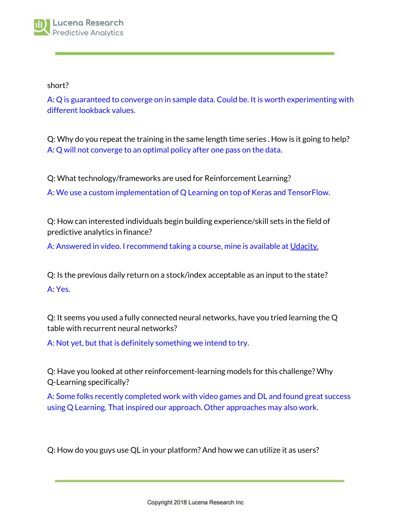short?

A: Q is guaranteed to converge on in sample data. Could be. It is worth experimenting with different lookback values.

Q: Why do you repeat the training in the same length time series . How is it going to help? A: Q will not converge to an optimal policy after one pass on the data.

Q: What technology/frameworks are used for Reinforcement Learning?

A: We use a custom implementation of Q Learning on top of Keras and TensorFlow.

Q: How can interested individuals begin building experience/skill sets in the field of predictive analytics in finance?

A: Answered in video. I recommend taking a course, mine is available at [Udacity.](https://www.udacity.com/)

Q: Is the previous daily return on a stock/index acceptable as an input to the state? A: Yes.

Q: It seems you used a fully connected neural networks, have you tried learning the Q table with recurrent neural networks?

A: Not yet, but that is definitely something we intend to try.

Q: Have you looked at other reinforcement-learning models for this challenge? Why Q-Learning specifically?

A: Some folks recently completed work with video games and DL and found great success using Q Learning. That inspired our approach. Other approaches may also work.

Q: How do you guys use QL in your platform? And how we can utilize it as users?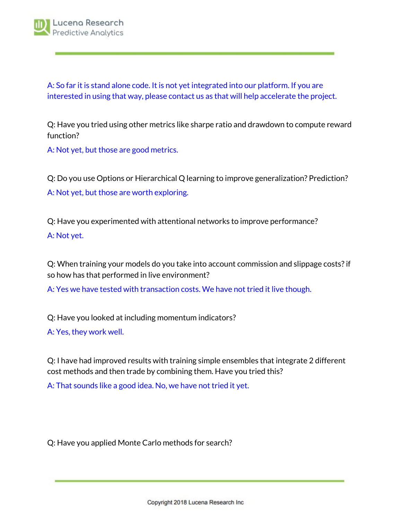A: So far it is stand alone code. It is not yet integrated into our platform. If you are interested in using that way, please contact us as that will help accelerate the project.

Q: Have you tried using other metrics like sharpe ratio and drawdown to compute reward function?

A: Not yet, but those are good metrics.

Q: Do you use Options or Hierarchical Q learning to improve generalization? Prediction? A: Not yet, but those are worth exploring.

Q: Have you experimented with attentional networks to improve performance? A: Not yet.

Q: When training your models do you take into account commission and slippage costs?if so how has that performed in live environment?

A: Yes we have tested with transaction costs. We have not tried it live though.

Q: Have you looked at including momentum indicators?

A: Yes, they work well.

Q: I have had improved results with training simple ensembles that integrate 2 different cost methods and then trade by combining them. Have you tried this?

A: That sounds like a good idea. No, we have not tried it yet.

Q: Have you applied Monte Carlo methods for search?